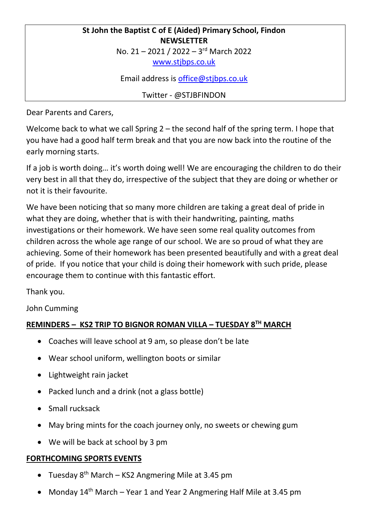# **St John the Baptist C of E (Aided) Primary School, Findon NEWSLETTER**

No. 21 - 2021 / 2022 - 3rd March 2022

[www.stjbps.co.uk](http://www.stjbps.co.uk/)

Email address is [office@stjbps.co.uk](mailto:office@stjbps.co.uk)

Twitter - @STJBFINDON

Dear Parents and Carers,

Welcome back to what we call Spring 2 – the second half of the spring term. I hope that you have had a good half term break and that you are now back into the routine of the early morning starts.

If a job is worth doing… it's worth doing well! We are encouraging the children to do their very best in all that they do, irrespective of the subject that they are doing or whether or not it is their favourite.

We have been noticing that so many more children are taking a great deal of pride in what they are doing, whether that is with their handwriting, painting, maths investigations or their homework. We have seen some real quality outcomes from children across the whole age range of our school. We are so proud of what they are achieving. Some of their homework has been presented beautifully and with a great deal of pride. If you notice that your child is doing their homework with such pride, please encourage them to continue with this fantastic effort.

Thank you.

John Cumming

### **REMINDERS – KS2 TRIP TO BIGNOR ROMAN VILLA – TUESDAY 8 TH MARCH**

- Coaches will leave school at 9 am, so please don't be late
- Wear school uniform, wellington boots or similar
- Lightweight rain jacket
- Packed lunch and a drink (not a glass bottle)
- Small rucksack
- May bring mints for the coach journey only, no sweets or chewing gum
- We will be back at school by 3 pm

#### **FORTHCOMING SPORTS EVENTS**

- Tuesday  $8^{th}$  March KS2 Angmering Mile at 3.45 pm
- Monday  $14<sup>th</sup>$  March Year 1 and Year 2 Angmering Half Mile at 3.45 pm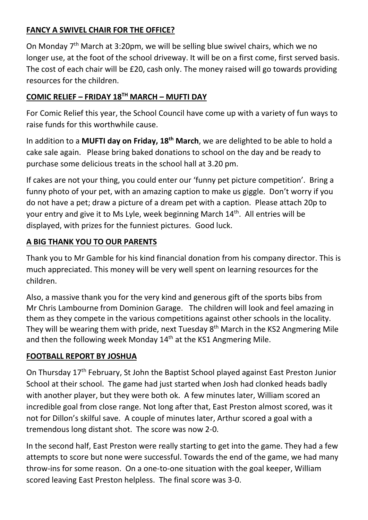## **FANCY A SWIVEL CHAIR FOR THE OFFICE?**

On Monday 7<sup>th</sup> March at 3:20pm, we will be selling blue swivel chairs, which we no longer use, at the foot of the school driveway. It will be on a first come, first served basis. The cost of each chair will be £20, cash only. The money raised will go towards providing resources for the children.

### **COMIC RELIEF – FRIDAY 18TH MARCH – MUFTI DAY**

For Comic Relief this year, the School Council have come up with a variety of fun ways to raise funds for this worthwhile cause.

In addition to a **MUFTI day on Friday, 18th March**, we are delighted to be able to hold a cake sale again. Please bring baked donations to school on the day and be ready to purchase some delicious treats in the school hall at 3.20 pm.

If cakes are not your thing, you could enter our 'funny pet picture competition'. Bring a funny photo of your pet, with an amazing caption to make us giggle. Don't worry if you do not have a pet; draw a picture of a dream pet with a caption. Please attach 20p to your entry and give it to Ms Lyle, week beginning March 14<sup>th</sup>. All entries will be displayed, with prizes for the funniest pictures. Good luck.

#### **A BIG THANK YOU TO OUR PARENTS**

Thank you to Mr Gamble for his kind financial donation from his company director. This is much appreciated. This money will be very well spent on learning resources for the children.

Also, a massive thank you for the very kind and generous gift of the sports bibs from Mr Chris Lambourne from Dominion Garage. The children will look and feel amazing in them as they compete in the various competitions against other schools in the locality. They will be wearing them with pride, next Tuesday 8<sup>th</sup> March in the KS2 Angmering Mile and then the following week Monday 14<sup>th</sup> at the KS1 Angmering Mile.

#### **FOOTBALL REPORT BY JOSHUA**

On Thursday 17th February, St John the Baptist School played against East Preston Junior School at their school. The game had just started when Josh had clonked heads badly with another player, but they were both ok. A few minutes later, William scored an incredible goal from close range. Not long after that, East Preston almost scored, was it not for Dillon's skilful save. A couple of minutes later, Arthur scored a goal with a tremendous long distant shot. The score was now 2-0.

In the second half, East Preston were really starting to get into the game. They had a few attempts to score but none were successful. Towards the end of the game, we had many throw-ins for some reason. On a one-to-one situation with the goal keeper, William scored leaving East Preston helpless. The final score was 3-0.